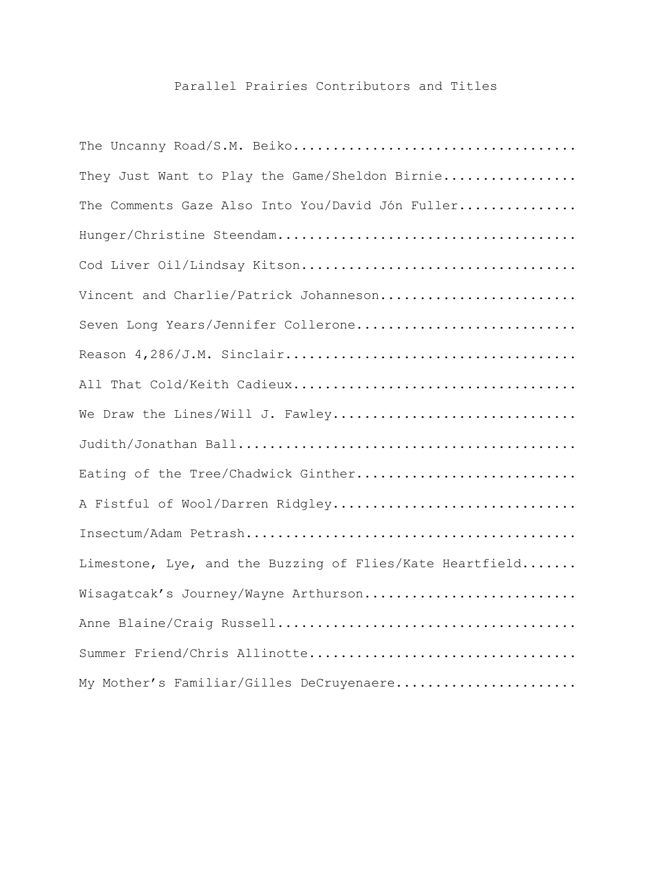## Parallel Prairies Contributors and Titles

| They Just Want to Play the Game/Sheldon Birnie           |
|----------------------------------------------------------|
| The Comments Gaze Also Into You/David Jón Fuller         |
|                                                          |
| Cod Liver Oil/Lindsay Kitson                             |
| Vincent and Charlie/Patrick Johanneson                   |
| Seven Long Years/Jennifer Collerone                      |
|                                                          |
|                                                          |
| We Draw the Lines/Will J. Fawley                         |
|                                                          |
| Eating of the Tree/Chadwick Ginther                      |
| A Fistful of Wool/Darren Ridgley                         |
|                                                          |
| Limestone, Lye, and the Buzzing of Flies/Kate Heartfield |
| Wisagatcak's Journey/Wayne Arthurson                     |
|                                                          |
| Summer Friend/Chris Allinotte                            |
| My Mother's Familiar/Gilles DeCruyenaere                 |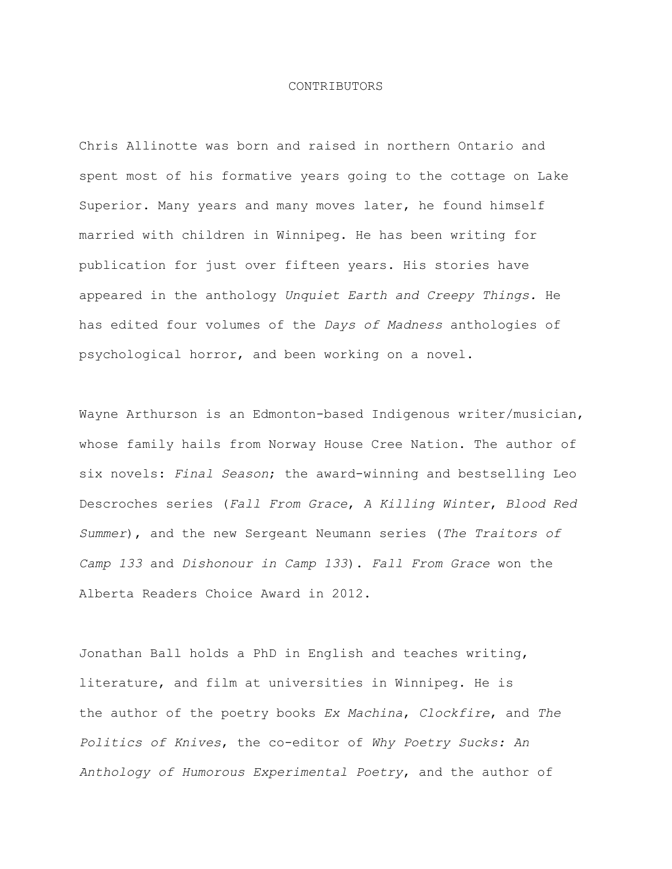## CONTRIBUTORS

Chris Allinotte was born and raised in northern Ontario and spent most of his formative years going to the cottage on Lake Superior. Many years and many moves later, he found himself married with children in Winnipeg. He has been writing for publication for just over fifteen years. His stories have appeared in the anthology *Unquiet Earth and Creepy Things.* He has edited four volumes of the *Days of Madness* anthologies of psychological horror, and been working on a novel.

Wayne Arthurson is an Edmonton-based Indigenous writer/musician, whose family hails from Norway House Cree Nation. The author of six novels: *Final Season*; the award-winning and bestselling Leo Descroches series (*Fall From Grace*, *A Killing Winter*, *Blood Red Summer*), and the new Sergeant Neumann series (*The Traitors of Camp 133* and *Dishonour in Camp 133*). *Fall From Grace* won the Alberta Readers Choice Award in 2012.

Jonathan Ball holds a PhD in English and teaches writing, literature, and film at universities in Winnipeg. He is the author of the poetry books *Ex Machina*, *Clockfire*, and *The Politics of Knives*, the co-editor of *Why Poetry Sucks: An Anthology of Humorous Experimental Poetry*, and the author of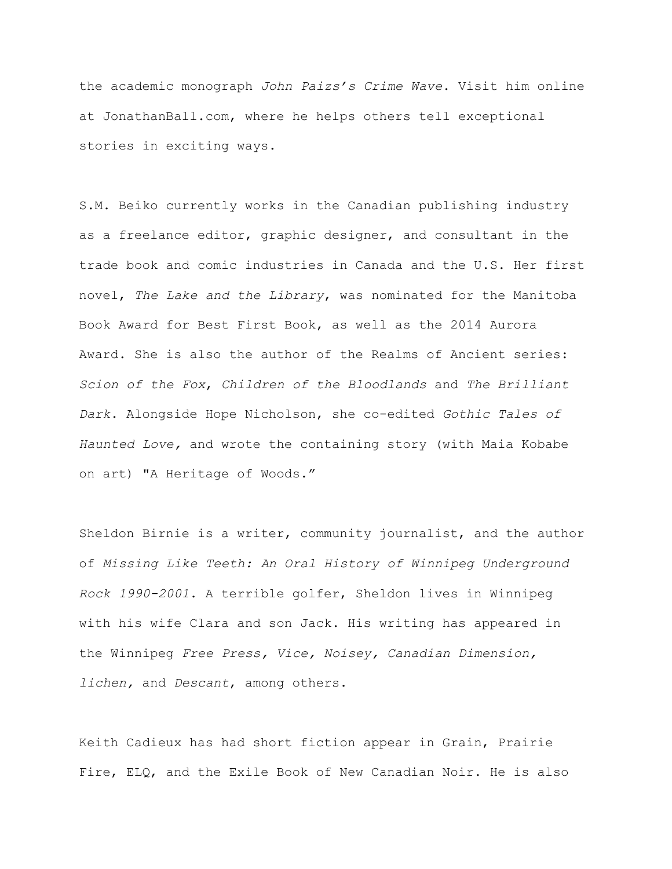the academic monograph *John Paizs's Crime Wave*. Visit him online at JonathanBall.com, where he helps others tell exceptional stories in exciting ways.

S.M. Beiko currently works in the Canadian publishing industry as a freelance editor, graphic designer, and consultant in the trade book and comic industries in Canada and the U.S. Her first novel, *The Lake and the Library*, was nominated for the Manitoba Book Award for Best First Book, as well as the 2014 Aurora Award. She is also the author of the Realms of Ancient series: *Scion of the Fox*, *Children of the Bloodlands* and *The Brilliant Dark*. Alongside Hope Nicholson, she co-edited *Gothic Tales of Haunted Love,* and wrote the containing story (with Maia Kobabe on art) "A Heritage of Woods."

Sheldon Birnie is a writer, community journalist, and the author of *Missing Like Teeth: An Oral History of Winnipeg Underground Rock 1990-2001*. A terrible golfer, Sheldon lives in Winnipeg with his wife Clara and son Jack. His writing has appeared in the Winnipeg *Free Press, Vice, Noisey, Canadian Dimension, lichen,* and *Descant*, among others.

Keith Cadieux has had short fiction appear in Grain, Prairie Fire, ELQ, and the Exile Book of New Canadian Noir. He is also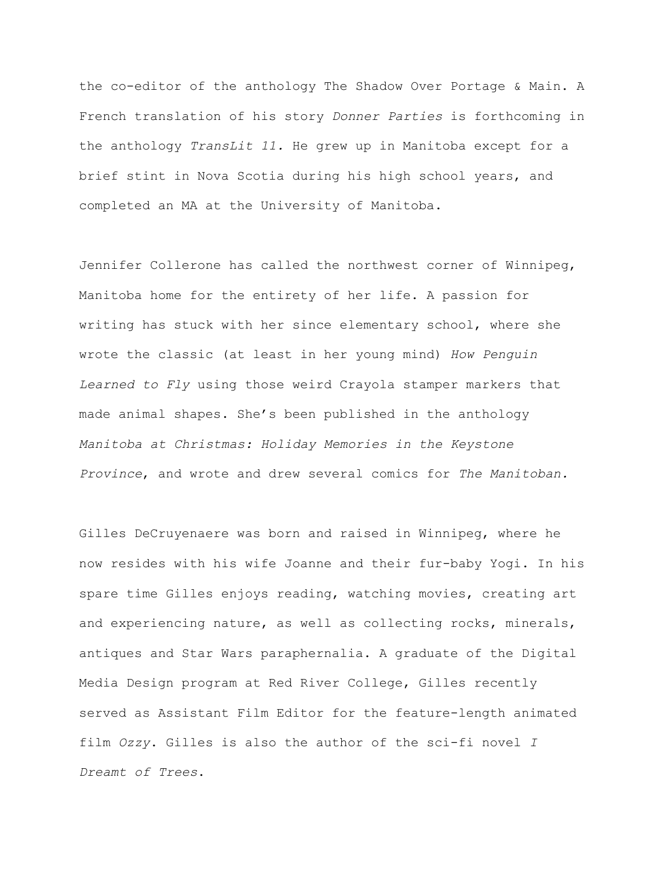the co-editor of the anthology The Shadow Over Portage & Main. A French translation of his story *Donner Parties* is forthcoming in the anthology *TransLit 11.* He grew up in Manitoba except for a brief stint in Nova Scotia during his high school years, and completed an MA at the University of Manitoba.

Jennifer Collerone has called the northwest corner of Winnipeg, Manitoba home for the entirety of her life. A passion for writing has stuck with her since elementary school, where she wrote the classic (at least in her young mind) *How Penguin Learned to Fly* using those weird Crayola stamper markers that made animal shapes. She's been published in the anthology *Manitoba at Christmas: Holiday Memories in the Keystone Province*, and wrote and drew several comics for *The Manitoban.*

Gilles DeCruyenaere was born and raised in Winnipeg, where he now resides with his wife Joanne and their fur-baby Yogi. In his spare time Gilles enjoys reading, watching movies, creating art and experiencing nature, as well as collecting rocks, minerals, antiques and Star Wars paraphernalia. A graduate of the Digital Media Design program at Red River College, Gilles recently served as Assistant Film Editor for the feature-length animated film *Ozzy*. Gilles is also the author of the sci-fi novel *I Dreamt of Trees*.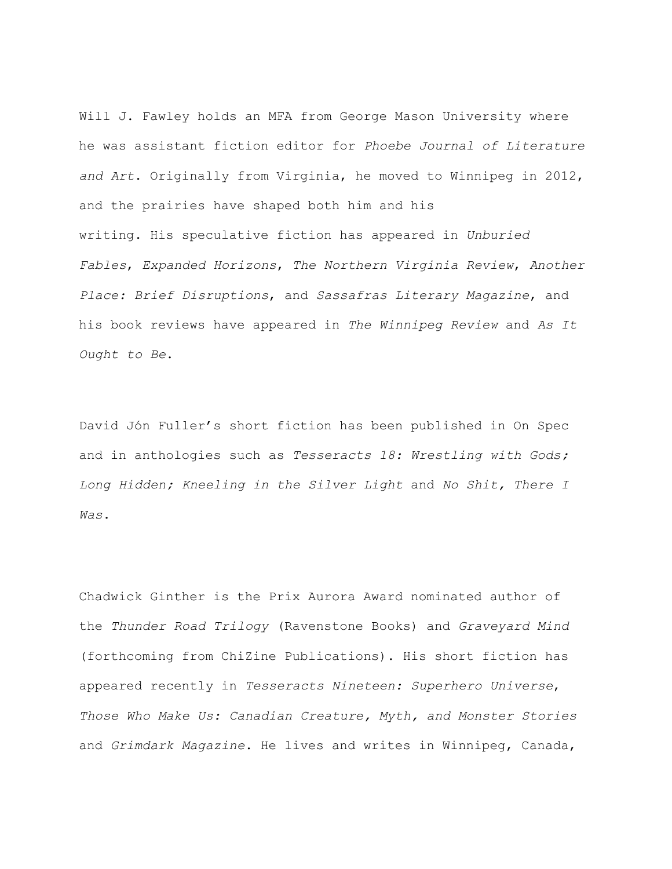Will J. Fawley holds an MFA from George Mason University where he was assistant fiction editor for *Phoebe Journal of Literature and Art*. Originally from Virginia, he moved to Winnipeg in 2012, and the prairies have shaped both him and his writing. His speculative fiction has appeared in *Unburied Fables*, *Expanded Horizons*, *The Northern Virginia Review*, *Another Place: Brief Disruptions*, and *Sassafras Literary Magazine*, and his book reviews have appeared in *The Winnipeg Review* and *As It Ought to Be*.

David Jón Fuller's short fiction has been published in On Spec and in anthologies such as *Tesseracts 18: Wrestling with Gods; Long Hidden; Kneeling in the Silver Light* and *No Shit, There I Was*.

Chadwick Ginther is the Prix Aurora Award nominated author of the *Thunder Road Trilogy* (Ravenstone Books) and *Graveyard Mind* (forthcoming from ChiZine Publications). His short fiction has appeared recently in *Tesseracts Nineteen: Superhero Universe*, *Those Who Make Us: Canadian Creature, Myth, and Monster Stories* and *Grimdark Magazine*. He lives and writes in Winnipeg, Canada,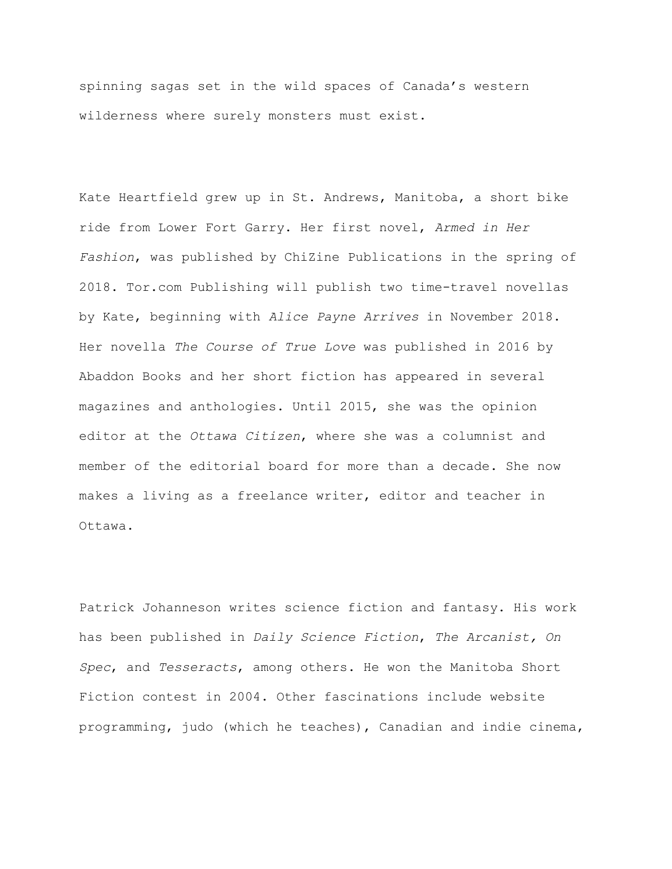spinning sagas set in the wild spaces of Canada's western wilderness where surely monsters must exist.

Kate Heartfield grew up in St. Andrews, Manitoba, a short bike ride from Lower Fort Garry. Her first novel, *Armed in Her Fashion*, was published by ChiZine Publications in the spring of 2018. Tor.com Publishing will publish two time-travel novellas by Kate, beginning with *Alice Payne Arrives* in November 2018. Her novella *The Course of True Love* was published in 2016 by Abaddon Books and her short fiction has appeared in several magazines and anthologies. Until 2015, she was the opinion editor at the *Ottawa Citizen*, where she was a columnist and member of the editorial board for more than a decade. She now makes a living as a freelance writer, editor and teacher in Ottawa.

Patrick Johanneson writes science fiction and fantasy. His work has been published in *Daily Science Fiction*, *The Arcanist, On Spec*, and *Tesseracts*, among others. He won the Manitoba Short Fiction contest in 2004. Other fascinations include website programming, judo (which he teaches), Canadian and indie cinema,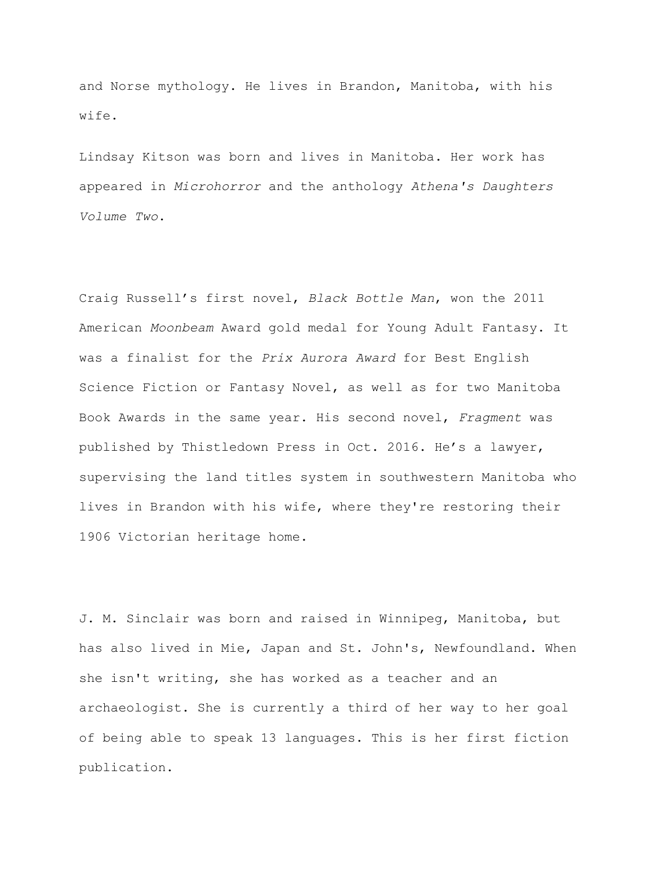and Norse mythology. He lives in Brandon, Manitoba, with his wife.

Lindsay Kitson was born and lives in Manitoba. Her work has appeared in *Microhorror* and the anthology *Athena's Daughters Volume Two*.

Craig Russell's first novel, *Black Bottle Man*, won the 2011 American *Moonbeam* Award gold medal for Young Adult Fantasy. It was a finalist for the *Prix Aurora Award* for Best English Science Fiction or Fantasy Novel, as well as for two Manitoba Book Awards in the same year. His second novel, *Fragment* was published by Thistledown Press in Oct. 2016. He's a lawyer, supervising the land titles system in southwestern Manitoba who lives in Brandon with his wife, where they're restoring their 1906 Victorian heritage home.

J. M. Sinclair was born and raised in Winnipeg, Manitoba, but has also lived in Mie, Japan and St. John's, Newfoundland. When she isn't writing, she has worked as a teacher and an archaeologist. She is currently a third of her way to her goal of being able to speak 13 languages. This is her first fiction publication.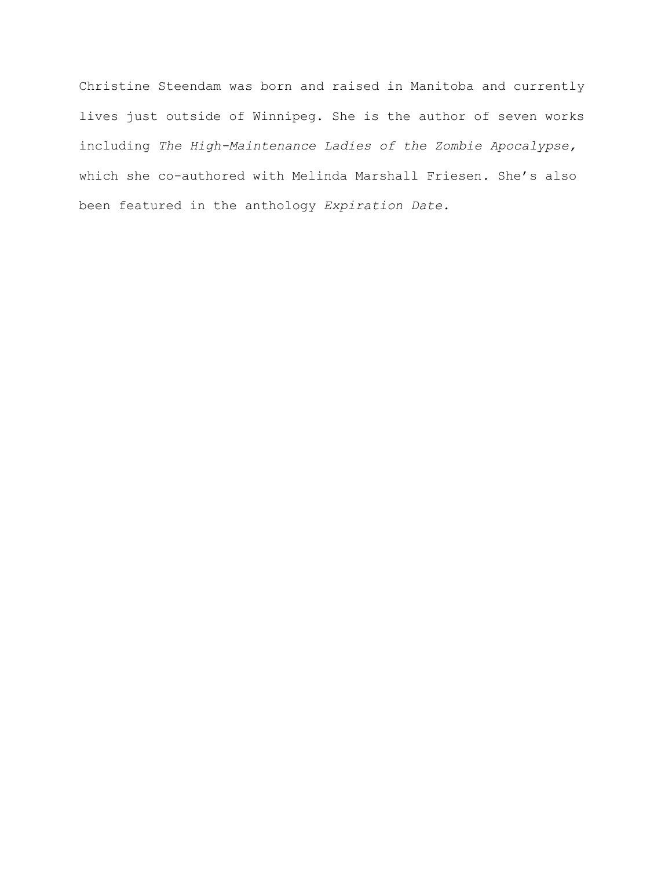Christine Steendam was born and raised in Manitoba and currently lives just outside of Winnipeg. She is the author of seven works including *The High-Maintenance Ladies of the Zombie Apocalypse,*  which she co-authored with Melinda Marshall Friesen*.* She's also been featured in the anthology *Expiration Date.*